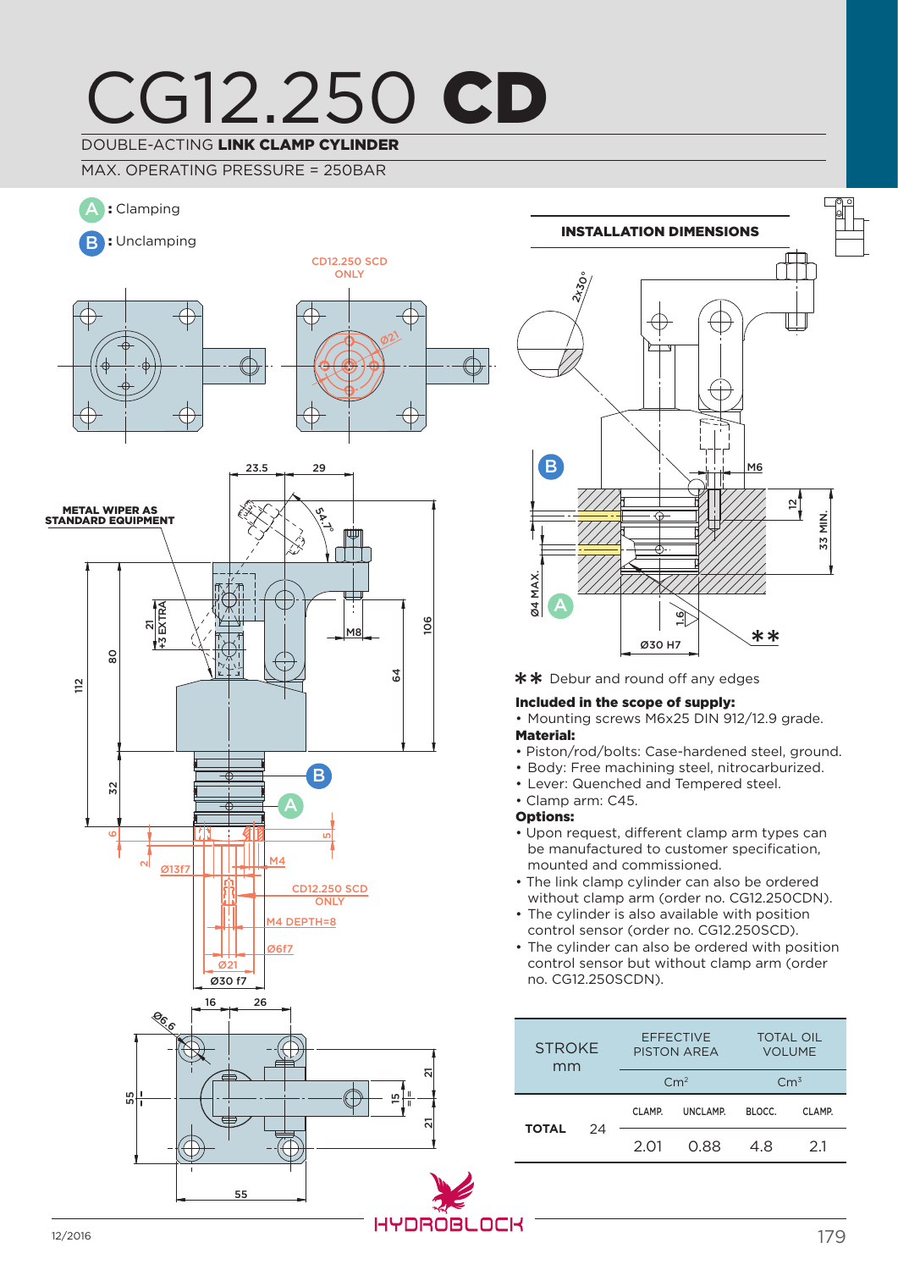## CG12.250 CD DOUBLE-ACTING LINK CLAMP CYLINDER

MAX. OPERATING PRESSURE = 250BAR





\*\* Debur and round off any edges

#### Included in the scope of supply:

• Mounting screws M6x25 DIN 912/12.9 grade.

- Piston/rod/bolts: Case-hardened steel, ground.
- Body: Free machining steel, nitrocarburized.
- Lever: Quenched and Tempered steel.
- 
- 
- Upon request, different clamp arm types can be manufactured to customer specification, mounted and commissioned.
- The link clamp cylinder can also be ordered without clamp arm (order no. CG12.250CDN).
- The cylinder is also available with position control sensor (order no. CG12.250SCD).
- The cylinder can also be ordered with position control sensor but without clamp arm (order no. CG12.250SCDN).

| <b>STROKE</b><br>mm |    | <b>EFFECTIVE</b><br><b>PISTON AREA</b> |          | <b>TOTAL OIL</b><br><b>VOLUME</b> |        |
|---------------------|----|----------------------------------------|----------|-----------------------------------|--------|
|                     |    | $\rm cm^2$                             |          | $\rm Cm^3$                        |        |
| <b>TOTAL</b>        | 24 | CLAMP.                                 | UNCLAMP. | BLOCC.                            | CLAMP. |
|                     |    | 2 O1                                   | O 88     | 48                                | 21     |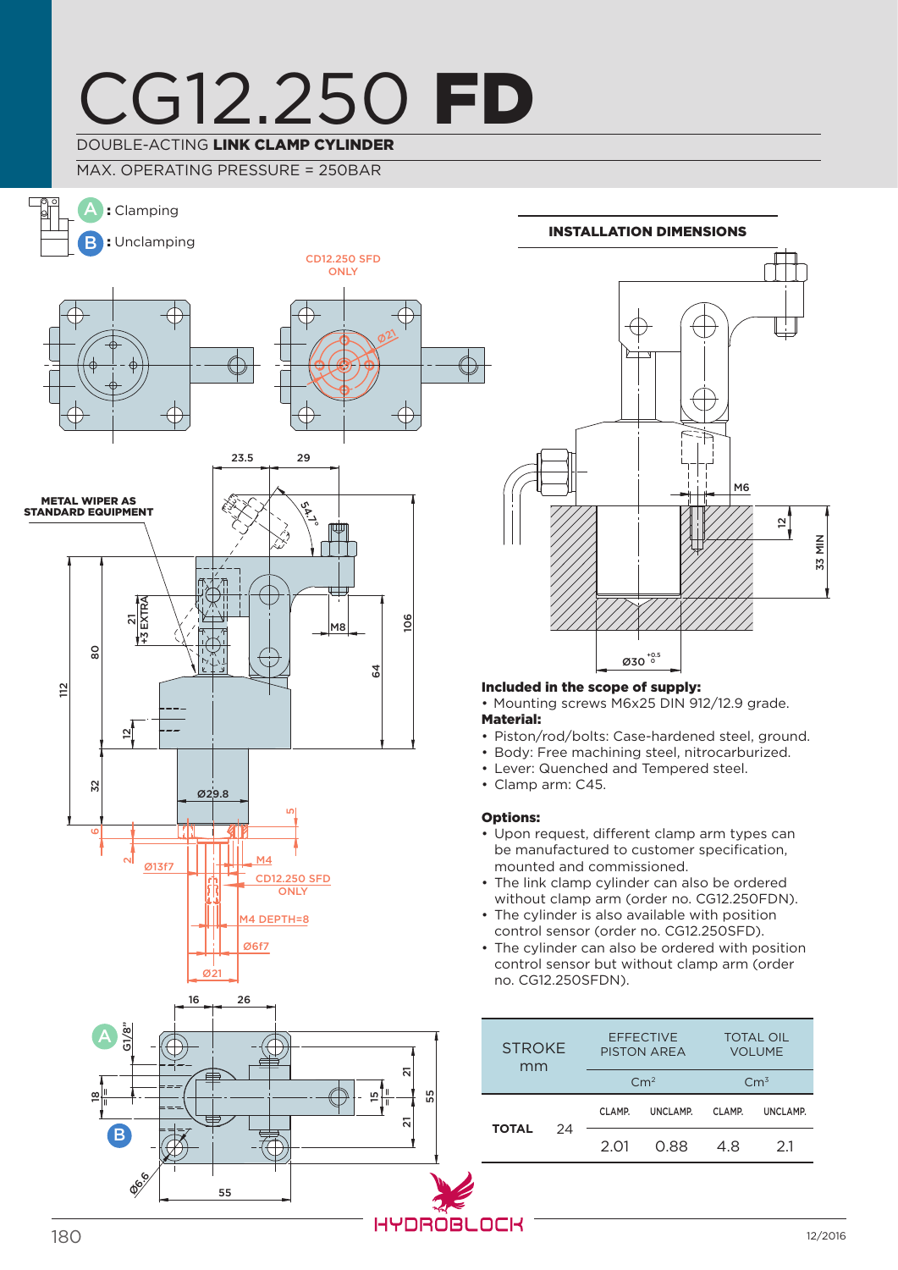# CG12.250 FD

### DOUBLE-ACTING LINK CLAMP CYLINDER

MAX. OPERATING PRESSURE = 250BAR



# M6  $\overline{5}$ 33 MIN  $\emptyset$ 30 $^{^{+0.5}}$ Installation dimensions

#### Included in the scope of supply:

• Mounting screws M6x25 DIN 912/12.9 grade. Material:

- Piston/rod/bolts: Case-hardened steel, ground.
- Body: Free machining steel, nitrocarburized.
- Lever: Quenched and Tempered steel.
- Clamp arm: C45.

#### Options:

- Upon request, different clamp arm types can be manufactured to customer specification, mounted and commissioned.
- The link clamp cylinder can also be ordered without clamp arm (order no. CG12.250FDN).
- The cylinder is also available with position control sensor (order no. CG12.250SFD).
- The cylinder can also be ordered with position control sensor but without clamp arm (order no. CG12.250SFDN).

| <b>STROKE</b><br>mm |    | <b>EFFECTIVE</b><br><b>PISTON AREA</b> |          | <b>TOTAL OIL</b><br><b>VOLUME</b> |          |
|---------------------|----|----------------------------------------|----------|-----------------------------------|----------|
|                     |    | $\rm cm^2$                             |          | $\rm Cm^3$                        |          |
| <b>TOTAL</b>        | 24 | CLAMP.                                 | UNCLAMP. | CLAMP.                            | UNCLAMP. |
|                     |    | 2 O1                                   | O 88     | 48                                | 21       |